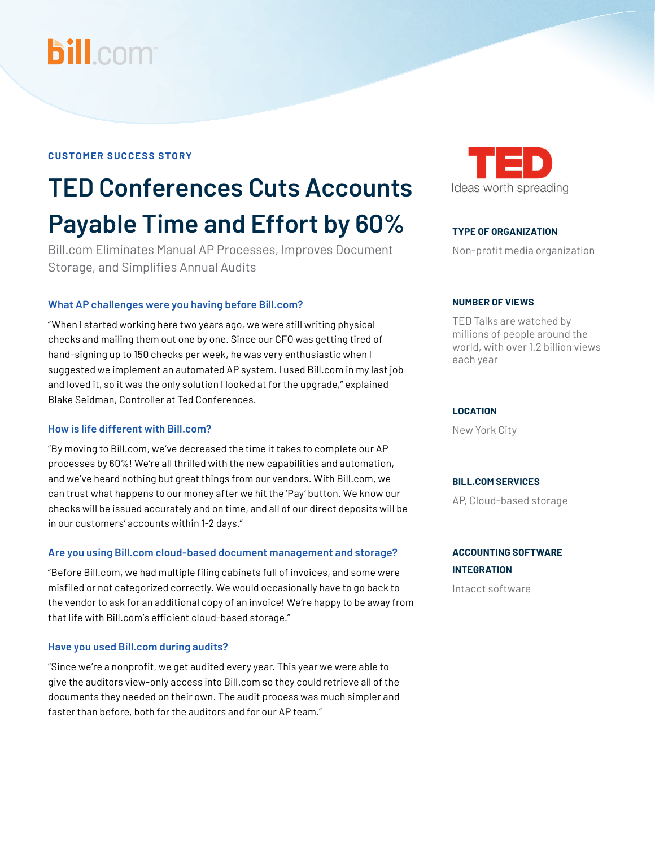# **bill.com**

#### **CUSTOMER SUCCESS STORY**

## **TED Conferences Cuts Accounts Payable Time and Effort by 60%**

Bill.com Eliminates Manual AP Processes, Improves Document Storage, and Simplifies Annual Audits

#### **What AP challenges were you having before Bill.com?**

"When I started working here two years ago, we were still writing physical checks and mailing them out one by one. Since our CFO was getting tired of hand-signing up to 150 checks per week, he was very enthusiastic when I suggested we implement an automated AP system. I used Bill.com in my last job and loved it, so it was the only solution I looked at for the upgrade," explained Blake Seidman, Controller at Ted Conferences.

#### **How is life different with Bill.com?**

"By moving to Bill.com, we've decreased the time it takes to complete our AP processes by 60%! We're all thrilled with the new capabilities and automation, and we've heard nothing but great things from our vendors. With Bill.com, we can trust what happens to our money after we hit the 'Pay' button. We know our checks will be issued accurately and on time, and all of our direct deposits will be in our customers' accounts within 1-2 days."

#### **Are you using Bill.com cloud-based document management and storage?**

"Before Bill.com, we had multiple filing cabinets full of invoices, and some were misfiled or not categorized correctly. We would occasionally have to go back to the vendor to ask for an additional copy of an invoice! We're happy to be away from that life with Bill.com's efficient cloud-based storage."

#### **Have you used Bill.com during audits?**

"Since we're a nonprofit, we get audited every year. This year we were able to give the auditors view-only access into Bill.com so they could retrieve all of the documents they needed on their own. The audit process was much simpler and faster than before, both for the auditors and for our AP team."



#### **TYPE OF ORGANIZATION**

Non-profit media organization

#### **NUMBER OF VIEWS**

TED Talks are watched by millions of people around the world, with over 1.2 billion views each year

#### **LOCATION**

New York City

#### **BILL.COM SERVICES**

AP, Cloud-based storage

#### **ACCOUNTING SOFTWARE INTEGRATION**

Intacct software